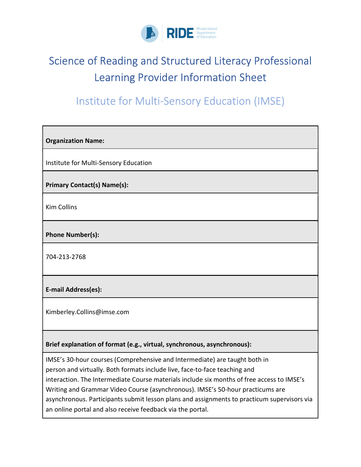

## Science of Reading and Structured Literacy Professional Learning Provider Information Sheet

## Institute for Multi-Sensory Education (IMSE)

| <b>Organization Name:</b>                                                                                                                                                                                                                                                                                                                                                                                                                                                                             |  |  |
|-------------------------------------------------------------------------------------------------------------------------------------------------------------------------------------------------------------------------------------------------------------------------------------------------------------------------------------------------------------------------------------------------------------------------------------------------------------------------------------------------------|--|--|
| Institute for Multi-Sensory Education                                                                                                                                                                                                                                                                                                                                                                                                                                                                 |  |  |
| <b>Primary Contact(s) Name(s):</b>                                                                                                                                                                                                                                                                                                                                                                                                                                                                    |  |  |
| <b>Kim Collins</b>                                                                                                                                                                                                                                                                                                                                                                                                                                                                                    |  |  |
| Phone Number(s):                                                                                                                                                                                                                                                                                                                                                                                                                                                                                      |  |  |
| 704-213-2768                                                                                                                                                                                                                                                                                                                                                                                                                                                                                          |  |  |
| E-mail Address(es):                                                                                                                                                                                                                                                                                                                                                                                                                                                                                   |  |  |
| Kimberley.Collins@imse.com                                                                                                                                                                                                                                                                                                                                                                                                                                                                            |  |  |
| Brief explanation of format (e.g., virtual, synchronous, asynchronous):                                                                                                                                                                                                                                                                                                                                                                                                                               |  |  |
| IMSE's 30-hour courses (Comprehensive and Intermediate) are taught both in<br>person and virtually. Both formats include live, face-to-face teaching and<br>interaction. The Intermediate Course materials include six months of free access to IMSE's<br>Writing and Grammar Video Course (asynchronous). IMSE's 50-hour practicums are<br>asynchronous. Participants submit lesson plans and assignments to practicum supervisors via<br>an online portal and also receive feedback via the portal. |  |  |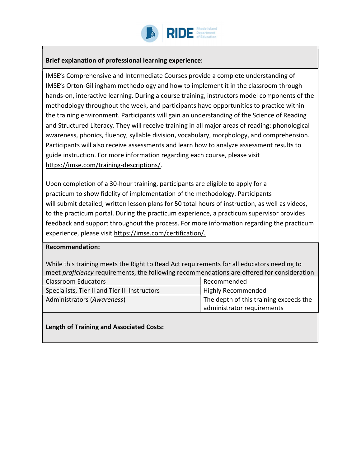

## Brief explanation of professional learning experience:

IMSE's Comprehensive and Intermediate Courses provide a complete understanding of IMSE's Orton-Gillingham methodology and how to implement it in the classroom through hands-on, interactive learning. During a course training, instructors model components of the methodology throughout the week, and participants have opportunities to practice within the training environment. Participants will gain an understanding of the Science of Reading and Structured Literacy. They will receive training in all major areas of reading: phonological awareness, phonics, fluency, syllable division, vocabulary, morphology, and comprehension. Participants will also receive assessments and learn how to analyze assessment results to guide instruction. For more information regarding each course, please visit https://imse.com/training-descriptions/.

Upon completion of a 30-hour training, participants are eligible to apply for a practicum to show fidelity of implementation of the methodology. Participants will submit detailed, written lesson plans for 50 total hours of instruction, as well as videos, to the practicum portal. During the practicum experience, a practicum supervisor provides feedback and support throughout the process. For more information regarding the practicum experience, please visit https://imse.com/certification/.

## Recommendation:

While this training meets the Right to Read Act requirements for all educators needing to meet *proficiency* requirements, the following recommendations are offered for consideration

| <b>Classroom Educators</b>                    | Recommended                            |
|-----------------------------------------------|----------------------------------------|
| Specialists, Tier II and Tier III Instructors | Highly Recommended                     |
| Administrators (Awareness)                    | The depth of this training exceeds the |
|                                               | administrator requirements             |

Length of Training and Associated Costs: